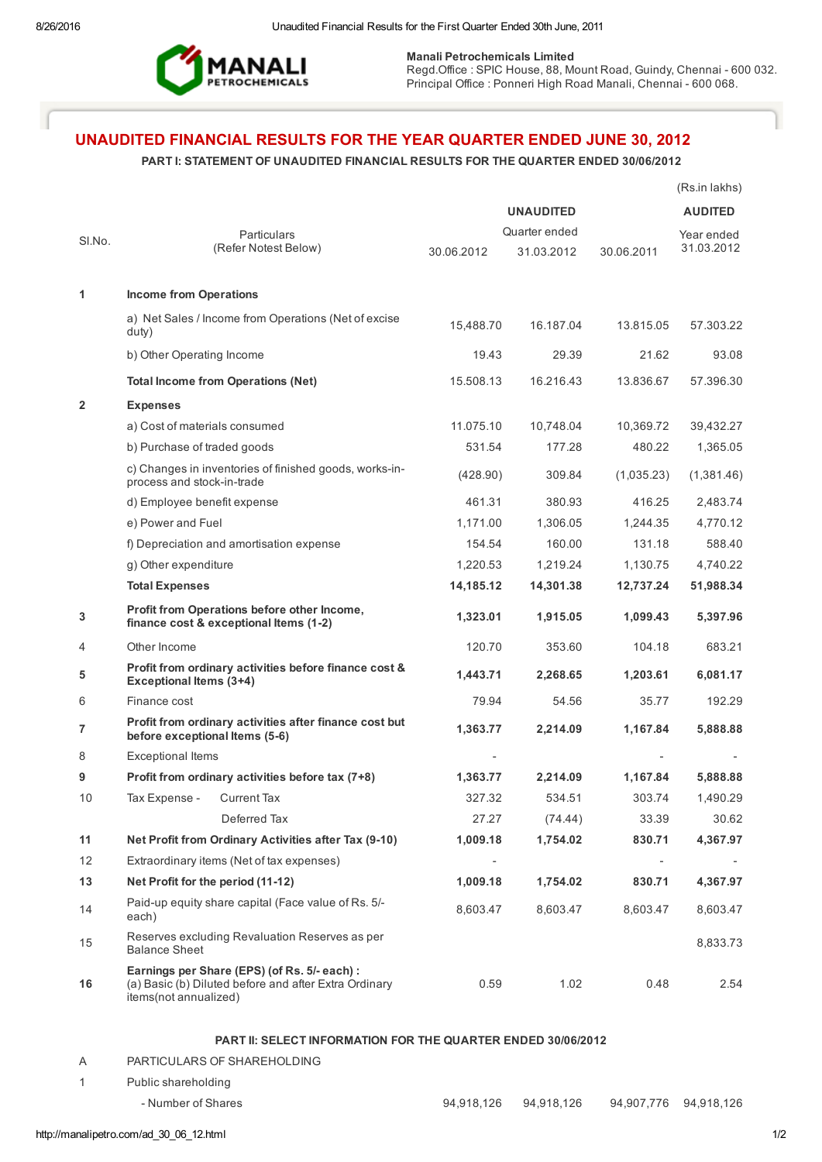

Manali Petrochemicals Limited

Regd.Office: SPIC House, 88, Mount Road, Guindy, Chennai - 600 032. Principal Office : Ponneri High Road Manali, Chennai - 600 068.

# UNAUDITED FINANCIAL RESULTS FOR THE YEAR QUARTER ENDED JUNE 30, 2012

## PART I: STATEMENT OF UNAUDITED FINANCIAL RESULTS FOR THE QUARTER ENDED 30/06/2012

|              |                                                                                                                                |                  |               |            | (Rs.in lakhs)  |
|--------------|--------------------------------------------------------------------------------------------------------------------------------|------------------|---------------|------------|----------------|
|              |                                                                                                                                | <b>UNAUDITED</b> |               |            | <b>AUDITED</b> |
| SI.No.       | Particulars                                                                                                                    |                  | Quarter ended | Year ended |                |
|              | (Refer Notest Below)                                                                                                           | 30.06.2012       | 31.03.2012    | 30.06.2011 | 31.03.2012     |
|              |                                                                                                                                |                  |               |            |                |
| 1            | <b>Income from Operations</b>                                                                                                  |                  |               |            |                |
|              | a) Net Sales / Income from Operations (Net of excise<br>duty)                                                                  | 15,488.70        | 16.187.04     | 13.815.05  | 57.303.22      |
|              | b) Other Operating Income                                                                                                      | 19.43            | 29.39         | 21.62      | 93.08          |
|              | <b>Total Income from Operations (Net)</b>                                                                                      | 15.508.13        | 16.216.43     | 13.836.67  | 57.396.30      |
| $\mathbf{2}$ | <b>Expenses</b>                                                                                                                |                  |               |            |                |
|              | a) Cost of materials consumed                                                                                                  | 11.075.10        | 10,748.04     | 10,369.72  | 39,432.27      |
|              | b) Purchase of traded goods                                                                                                    | 531.54           | 177.28        | 480.22     | 1,365.05       |
|              | c) Changes in inventories of finished goods, works-in-<br>process and stock-in-trade                                           | (428.90)         | 309.84        | (1,035.23) | (1,381.46)     |
|              | d) Employee benefit expense                                                                                                    | 461.31           | 380.93        | 416.25     | 2,483.74       |
|              | e) Power and Fuel                                                                                                              | 1,171.00         | 1,306.05      | 1,244.35   | 4,770.12       |
|              | f) Depreciation and amortisation expense                                                                                       | 154.54           | 160.00        | 131.18     | 588.40         |
|              | g) Other expenditure                                                                                                           | 1,220.53         | 1,219.24      | 1,130.75   | 4,740.22       |
|              | <b>Total Expenses</b>                                                                                                          | 14,185.12        | 14,301.38     | 12,737.24  | 51,988.34      |
| 3            | Profit from Operations before other Income,<br>finance cost & exceptional Items (1-2)                                          | 1,323.01         | 1,915.05      | 1,099.43   | 5,397.96       |
| 4            | Other Income                                                                                                                   | 120.70           | 353.60        | 104.18     | 683.21         |
| 5            | Profit from ordinary activities before finance cost &<br><b>Exceptional Items (3+4)</b>                                        | 1,443.71         | 2,268.65      | 1,203.61   | 6,081.17       |
| 6            | Finance cost                                                                                                                   | 79.94            | 54.56         | 35.77      | 192.29         |
| 7            | Profit from ordinary activities after finance cost but<br>before exceptional Items (5-6)                                       | 1,363.77         | 2,214.09      | 1,167.84   | 5,888.88       |
| 8            | <b>Exceptional Items</b>                                                                                                       |                  |               |            |                |
| 9            | Profit from ordinary activities before tax (7+8)                                                                               | 1,363.77         | 2,214.09      | 1,167.84   | 5,888.88       |
| 10           | Tax Expense - Current Tax                                                                                                      | 327.32           | 534.51        | 303.74     | 1,490.29       |
|              | Deferred Tax                                                                                                                   | 27.27            | (74.44)       | 33.39      | 30.62          |
| 11           | Net Profit from Ordinary Activities after Tax (9-10)                                                                           | 1,009.18         | 1,754.02      | 830.71     | 4,367.97       |
| 12           | Extraordinary items (Net of tax expenses)                                                                                      |                  |               |            |                |
| 13           | Net Profit for the period (11-12)                                                                                              | 1,009.18         | 1,754.02      | 830.71     | 4,367.97       |
| 14           | Paid-up equity share capital (Face value of Rs. 5/-<br>each)                                                                   | 8,603.47         | 8,603.47      | 8,603.47   | 8,603.47       |
| 15           | Reserves excluding Revaluation Reserves as per<br><b>Balance Sheet</b>                                                         |                  |               |            | 8,833.73       |
| 16           | Earnings per Share (EPS) (of Rs. 5/- each) :<br>(a) Basic (b) Diluted before and after Extra Ordinary<br>items(not annualized) | 0.59             | 1.02          | 0.48       | 2.54           |

### PART II: SELECT INFORMATION FOR THE QUARTER ENDED 30/06/2012

A PARTICULARS OF SHAREHOLDING

1 Public shareholding

#### - Number of Shares 2018,126 94,918,126 94,918,126 94,918,126 94,907,776 94,918,126